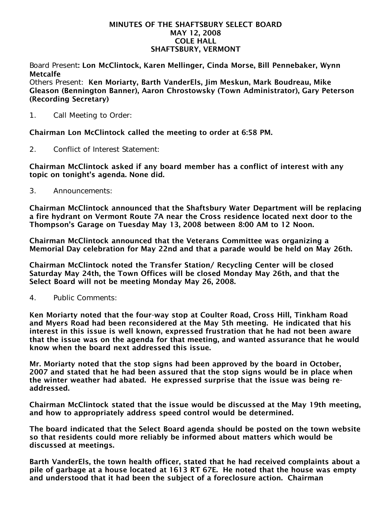#### MINUTES OF THE SHAFTSBURY SELECT BOARD MAY 12, 2008 COLE HALL SHAFTSBURY, VERMONT

Board Present: Lon McClintock, Karen Mellinger, Cinda Morse, Bill Pennebaker, Wynn Metcalfe

Others Present: Ken Moriarty, Barth VanderEls, Jim Meskun, Mark Boudreau, Mike Gleason (Bennington Banner), Aaron Chrostowsky (Town Administrator), Gary Peterson (Recording Secretary)

1. Call Meeting to Order:

Chairman Lon McClintock called the meeting to order at 6:58 PM.

2. Conflict of Interest Statement:

Chairman McClintock asked if any board member has a conflict of interest with any topic on tonight's agenda. None did.

3. Announcements:

Chairman McClintock announced that the Shaftsbury Water Department will be replacing a fire hydrant on Vermont Route 7A near the Cross residence located next door to the Thompson's Garage on Tuesday May 13, 2008 between 8:00 AM to 12 Noon.

Chairman McClintock announced that the Veterans Committee was organizing a Memorial Day celebration for May 22nd and that a parade would be held on May 26th.

Chairman McClintock noted the Transfer Station/ Recycling Center will be closed Saturday May 24th, the Town Offices will be closed Monday May 26th, and that the Select Board will not be meeting Monday May 26, 2008.

4. Public Comments:

Ken Moriarty noted that the four-way stop at Coulter Road, Cross Hill, Tinkham Road and Myers Road had been reconsidered at the May 5th meeting. He indicated that his interest in this issue is well known, expressed frustration that he had not been aware that the issue was on the agenda for that meeting, and wanted assurance that he would know when the board next addressed this issue.

Mr. Moriarty noted that the stop signs had been approved by the board in October, 2007 and stated that he had been assured that the stop signs would be in place when the winter weather had abated. He expressed surprise that the issue was being readdressed.

Chairman McClintock stated that the issue would be discussed at the May 19th meeting, and how to appropriately address speed control would be determined.

The board indicated that the Select Board agenda should be posted on the town website so that residents could more reliably be informed about matters which would be discussed at meetings.

Barth VanderEls, the town health officer, stated that he had received complaints about a pile of garbage at a house located at 1613 RT 67E. He noted that the house was empty and understood that it had been the subject of a foreclosure action. Chairman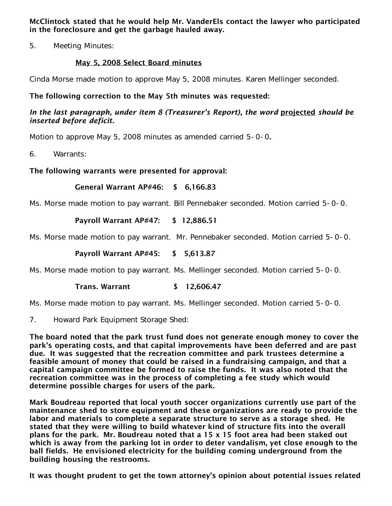McClintock stated that he would help Mr. VanderEls contact the lawyer who participated in the foreclosure and get the garbage hauled away.

5. Meeting Minutes:

# May 5, 2008 Select Board minutes

Cinda Morse made motion to approve May 5, 2008 minutes. Karen Mellinger seconded.

# The following correction to the May 5th minutes was requested:

### In the last paragraph, under item 8 (Treasurer's Report), the word projected should be *inserted before deficit.*

Motion to approve May 5, 2008 minutes as amended carried 5-0-0.

6. Warrants:

# The following warrants were presented for approval:

## General Warrant AP#46: \$ 6,166.83

Ms. Morse made motion to pay warrant. Bill Pennebaker seconded. Motion carried 5-0-0.

## Payroll Warrant AP#47: \$ 12,886.51

Ms. Morse made motion to pay warrant. Mr. Pennebaker seconded. Motion carried 5-0-0.

### Payroll Warrant AP#45: \$ 5,613.87

Ms. Morse made motion to pay warrant. Ms. Mellinger seconded. Motion carried 5-0-0.

#### Trans. Warrant \$ 12,606.47

Ms. Morse made motion to pay warrant. Ms. Mellinger seconded. Motion carried 5-0-0.

7. Howard Park Equipment Storage Shed:

The board noted that the park trust fund does not generate enough money to cover the park's operating costs, and that capital improvements have been deferred and are past due. It was suggested that the recreation committee and park trustees determine a feasible amount of money that could be raised in a fundraising campaign, and that a capital campaign committee be formed to raise the funds. It was also noted that the recreation committee was in the process of completing a fee study which would determine possible charges for users of the park.

Mark Boudreau reported that local youth soccer organizations currently use part of the maintenance shed to store equipment and these organizations are ready to provide the labor and materials to complete a separate structure to serve as a storage shed. He stated that they were willing to build whatever kind of structure fits into the overall plans for the park. Mr. Boudreau noted that a 15 x 15 foot area had been staked out which is away from the parking lot in order to deter vandalism, yet close enough to the ball fields. He envisioned electricity for the building coming underground from the building housing the restrooms.

It was thought prudent to get the town attorney's opinion about potential issues related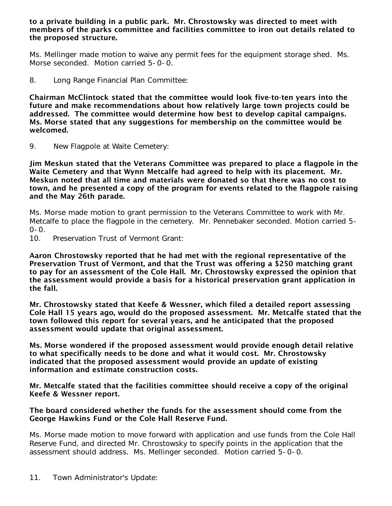to a private building in a public park. Mr. Chrostowsky was directed to meet with members of the parks committee and facilities committee to iron out details related to the proposed structure.

Ms. Mellinger made motion to waive any permit fees for the equipment storage shed. Ms. Morse seconded. Motion carried 5-0-0.

8. Long Range Financial Plan Committee:

Chairman McClintock stated that the committee would look five-to-ten years into the future and make recommendations about how relatively large town projects could be addressed. The committee would determine how best to develop capital campaigns. Ms. Morse stated that any suggestions for membership on the committee would be welcomed.

9. New Flagpole at Waite Cemetery:

Jim Meskun stated that the Veterans Committee was prepared to place a flagpole in the Waite Cemetery and that Wynn Metcalfe had agreed to help with its placement. Mr. Meskun noted that all time and materials were donated so that there was no cost to town, and he presented a copy of the program for events related to the flagpole raising and the May 26th parade.

Ms. Morse made motion to grant permission to the Veterans Committee to work with Mr. Metcalfe to place the flagpole in the cemetery. Mr. Pennebaker seconded. Motion carried 5-  $0 - 0.$ <br>10.

Preservation Trust of Vermont Grant:

Aaron Chrostowsky reported that he had met with the regional representative of the Preservation Trust of Vermont, and that the Trust was offering a \$250 matching grant to pay for an assessment of the Cole Hall. Mr. Chrostowsky expressed the opinion that the assessment would provide a basis for a historical preservation grant application in the fall.

Mr. Chrostowsky stated that Keefe & Wessner, which filed a detailed report assessing Cole Hall 15 years ago, would do the proposed assessment. Mr. Metcalfe stated that the town followed this report for several years, and he anticipated that the proposed assessment would update that original assessment.

Ms. Morse wondered if the proposed assessment would provide enough detail relative to what specifically needs to be done and what it would cost. Mr. Chrostowsky indicated that the proposed assessment would provide an update of existing information and estimate construction costs.

Mr. Metcalfe stated that the facilities committee should receive a copy of the original Keefe & Wessner report.

#### The board considered whether the funds for the assessment should come from the George Hawkins Fund or the Cole Hall Reserve Fund.

Ms. Morse made motion to move forward with application and use funds from the Cole Hall Reserve Fund, and directed Mr. Chrostowsky to specify points in the application that the assessment should address. Ms. Mellinger seconded. Motion carried 5-0-0.